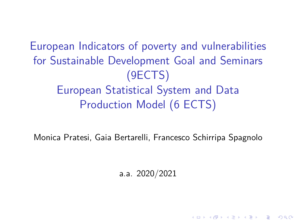European Indicators of poverty and vulnerabilities for Sustainable Development Goal and Seminars (9ECTS) European Statistical System and Data Production Model (6 ECTS)

Monica Pratesi, Gaia Bertarelli, Francesco Schirripa Spagnolo

a.a. 2020/2021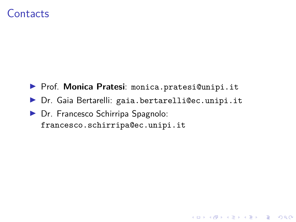#### **Contacts**

- I Prof. **Monica Pratesi**: monica.pratesi@unipi.it
- I Dr. Gaia Bertarelli: gaia.bertarelli@ec.unipi.it
- **Dr.** Francesco Schirripa Spagnolo: francesco.schirripa@ec.unipi.it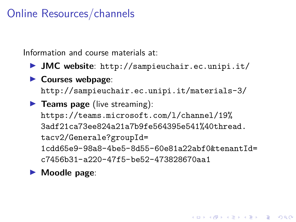# Online Resources/channels

Information and course materials at:

- I **JMC website**: http://sampieuchair.ec.unipi.it/
- **Courses webpage:** http://sampieuchair.ec.unipi.it/materials-3/
- **Feams page** (live streaming): https://teams.microsoft.com/l/channel/19% 3adf21ca73ee824a21a7b9fe564395e541%40thread. tacv2/Generale?groupId= 1cdd65e9-98a8-4be5-8d55-60e81a22abf0&tenantId= c7456b31-a220-47f5-be52-473828670aa1
- **Moodle page:**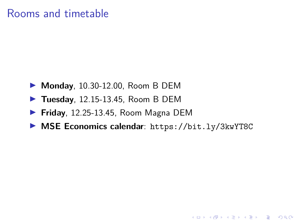# Rooms and timetable

- **Monday**, 10.30-12.00, Room B DEM
- **Tuesday**, 12.15-13.45, Room B DEM
- I **Friday**, 12.25-13.45, Room Magna DEM
- ▶ MSE Economics calendar: https://bit.ly/3kwYT8C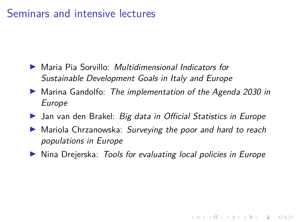# Seminars and intensive lectures

- I Maria Pia Sorvillo: *Multidimensional Indicators for Sustainable Development Goals in Italy and Europe*
- I Marina Gandolfo: *The implementation of the Agenda 2030 in Europe*
- I Jan van den Brakel: *Big data in Official Statistics in Europe*
- I Mariola Chrzanowska: *Surveying the poor and hard to reach populations in Europe*
- I Nina Drejerska: *Tools for evaluating local policies in Europe*